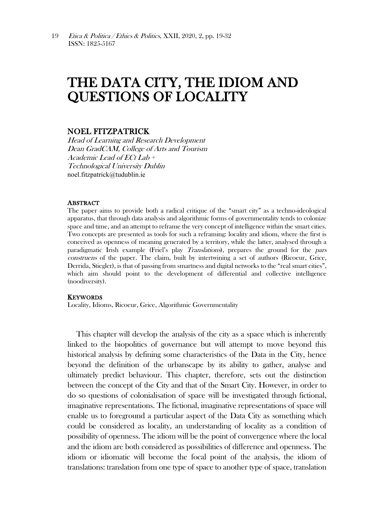# THE DATA CITY, THE IDIOM AND QUESTIONS OF LOCALITY

## NOEL FITZPATRICK

Head of Learning and Research Development Dean GradCAM, College of Arts and Tourism Academic Lead of ECt Lab + Technological University Dublin [noel.fitzpatrick@tudublin.ie](mailto:noel.fitzpatrick@tudublin.ie)

### **ABSTRACT**

The paper aims to provide both a radical critique of the "smart city" as a techno-ideological apparatus, that through data analysis and algorithmic forms of governmentality tends to colonize space and time, and an attempt to reframe the very concept of intelligence within the smart cities. Two concepts are presented as tools for such a reframing: locality and idiom, where the first is conceived as openness of meaning generated by a territory, while the latter, analysed through a paradigmatic Irish example (Friel's play Translations), prepares the ground for the pars construens of the paper. The claim, built by intertwining a set of authors (Ricoeur, Grice, Derrida, Stiegler), is that of passing from smartness and digital networks to the "real smart cities", which aim should point to the development of differential and collective intelligence (noodiversity).

#### **KEYWORDS**

Locality, Idioms, Ricoeur, Grice, Algorithmic Governmentality

This chapter will develop the analysis of the city as a space which is inherently linked to the biopolitics of governance but will attempt to move beyond this historical analysis by defining some characteristics of the Data in the City, hence beyond the definition of the urbanscape by its ability to gather, analyse and ultimately predict behaviour. This chapter, therefore, sets out the distinction between the concept of the City and that of the Smart City. However, in order to do so questions of colonialisation of space will be investigated through fictional, imaginative representations. The fictional, imaginative representations of space will enable us to foreground a particular aspect of the Data City as something which could be considered as locality, an understanding of locality as a condition of possibility of openness. The idiom will be the point of convergence where the local and the idiom are both considered as possibilities of difference and openness. The idiom or idiomatic will become the focal point of the analysis, the idiom of translations: translation from one type of space to another type of space, translation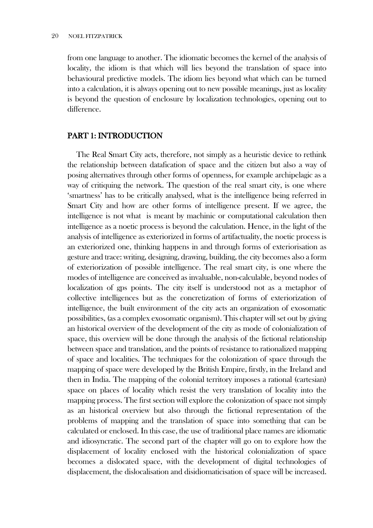from one language to another. The idiomatic becomes the kernel of the analysis of locality, the idiom is that which will lies beyond the translation of space into behavioural predictive models. The idiom lies beyond what which can be turned into a calculation, it is always opening out to new possible meanings, just as locality is beyond the question of enclosure by localization technologies, opening out to difference.

## PART 1: INTRODUCTION

The Real Smart City acts, therefore, not simply as a heuristic device to rethink the relationship between datafication of space and the citizen but also a way of posing alternatives through other forms of openness, for example archipelagic as a way of critiquing the network. The question of the real smart city, is one where 'smartness' has to be critically analysed, what is the intelligence being referred in Smart City and how are other forms of intelligence present. If we agree, the intelligence is not what is meant by machinic or computational calculation then intelligence as a noetic process is beyond the calculation. Hence, in the light of the analysis of intelligence as exteriorized in forms of artifactuality, the noetic process is an exteriorized one, thinking happens in and through forms of exteriorisation as gesture and trace: writing, designing, drawing, building, the city becomes also a form of exteriorization of possible intelligence. The real smart city, is one where the modes of intelligence are conceived as invaluable, non-calculable, beyond nodes of localization of gps points. The city itself is understood not as a metaphor of collective intelligences but as the concretization of forms of exteriorization of intelligence, the built environment of the city acts an organization of exosomatic possibilities, (as a complex exosomatic organism). This chapter will set out by giving an historical overview of the development of the city as mode of colonialization of space, this overview will be done through the analysis of the fictional relationship between space and translation, and the points of resistance to rationalized mapping of space and localities. The techniques for the colonization of space through the mapping of space were developed by the British Empire, firstly, in the Ireland and then in India. The mapping of the colonial territory imposes a rational (cartesian) space on places of locality which resist the very translation of locality into the mapping process. The first section will explore the colonization of space not simply as an historical overview but also through the fictional representation of the problems of mapping and the translation of space into something that can be calculated or enclosed. In this case, the use of traditional place names are idiomatic and idiosyncratic. The second part of the chapter will go on to explore how the displacement of locality enclosed with the historical colonialization of space becomes a dislocated space, with the development of digital technologies of displacement, the dislocalisation and disidiomaticisation of space will be increased.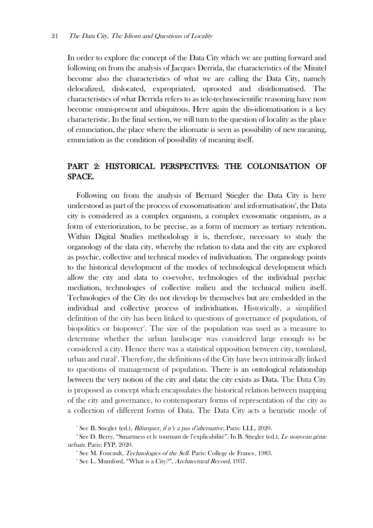In order to explore the concept of the Data City which we are putting forward and following on from the analysis of Jacques Derrida, the characteristics of the Minitel become also the characteristics of what we are calling the Data City, namely delocalized, dislocated, expropriated, uprooted and disidiomatised. The characteristics of what Derrida refers to as tele-technoscientific reasoning have now become omni-present and ubiquitous. Here again the dis-idiomatisation is a key characteristic. In the final section, we will turn to the question of locality as the place of enunciation, the place where the idiomatic is seen as possibility of new meaning, enunciation as the condition of possibility of meaning itself.

# PART 2: HISTORICAL PERSPECTIVES: THE COLONISATION OF SPACE.

Following on from the analysis of Bernard Stiegler the Data City is here understood as part of the process of exosomatisation<sup>1</sup> and informatisation<sup>2</sup>, the Data city is considered as a complex organism, a complex exosomatic organism, as a form of exteriorization, to be precise, as a form of memory as tertiary retention. Within Digital Studies methodology it is, therefore, necessary to study the organology of the data city, whereby the relation to data and the city are explored as psychic, collective and technical modes of individuation. The organology points to the historical development of the modes of technological development which allow the city and data to co-evolve, technologies of the individual psychic mediation, technologies of collective milieu and the technical milieu itself. Technologies of the City do not develop by themselves but are embedded in the individual and collective process of individuation. Historically, a simplified definition of the city has been linked to questions of governance of population, of biopolitics or biopower<sup>3</sup>. The size of the population was used as a measure to determine whether the urban landscape was considered large enough to be considered a city. Hence there was a statistical opposition between city, townland, urban and rural<sup>4</sup>. Therefore, the definitions of the City have been intrinsically linked to questions of management of population. There is an ontological relationship between the very notion of the city and data: the city exists as Data. The Data City is proposed as concept which encapsulates the historical relation between mapping of the city and governance, to contemporary forms of representation of the city as a collection of different forms of Data. The Data City acts a heuristic mode of

<sup>&</sup>lt;sup>1</sup> See B. Stiegler (ed.), *Bifurquer, il n'y a pas d'alternative*, Paris: LLL, 2020.

<sup>&</sup>lt;sup>2</sup> See D. Berry, "Smartness et le tournant de l'explicabilité". In B. Stiegler (ed.), *Le nouveau génie* urbain. Paris: FYP, 2020.

<sup>&</sup>lt;sup>3</sup> See M. Foucault, *Technologies of the Self*. Paris: College de France, 1983.

<sup>&</sup>lt;sup>4</sup> See L. Mumford, "What is a City?", Architectural Record, 1937.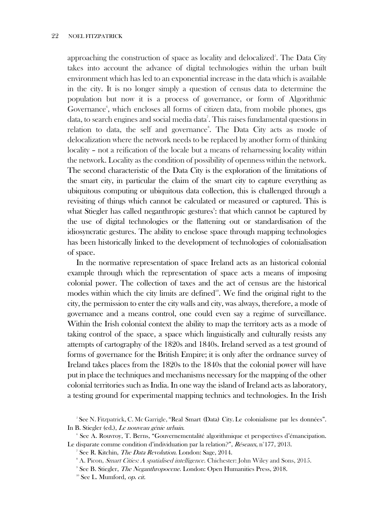approaching the construction of space as locality and delocalized<sup>5</sup>. The Data City takes into account the advance of digital technologies within the urban built environment which has led to an exponential increase in the data which is available in the city. It is no longer simply a question of census data to determine the population but now it is a process of governance, or form of Algorithmic Governance<sup>6</sup>, which encloses all forms of citizen data, from mobile phones, gps data, to search engines and social media data<sup>7</sup>. This raises fundamental questions in relation to data, the self and governance<sup>8</sup>. The Data City acts as mode of delocalization where the network needs to be replaced by another form of thinking locality – not a reification of the locale but a means of reharnessing locality within the network. Locality as the condition of possibility of openness within the network. The second characteristic of the Data City is the exploration of the limitations of the smart city, in particular the claim of the smart city to capture everything as ubiquitous computing or ubiquitous data collection, this is challenged through a revisiting of things which cannot be calculated or measured or captured. This is what Stiegler has called neganthropic gestures<sup>9</sup>: that which cannot be captured by the use of digital technologies or the flattening out or standardisation of the idiosyncratic gestures. The ability to enclose space through mapping technologies has been historically linked to the development of technologies of colonialisation of space.

In the normative representation of space Ireland acts as an historical colonial example through which the representation of space acts a means of imposing colonial power. The collection of taxes and the act of census are the historical modes within which the city limits are defined $10$ . We find the original right to the city, the permission to enter the city walls and city, was always, therefore, a mode of governance and a means control, one could even say a regime of surveillance. Within the Irish colonial context the ability to map the territory acts as a mode of taking control of the space, a space which linguistically and culturally resists any attempts of cartography of the 1820s and 1840s. Ireland served as a test ground of forms of governance for the British Empire; it is only after the ordnance survey of Ireland takes places from the 1820s to the 1840s that the colonial power will have put in place the techniques and mechanisms necessary for the mapping of the other colonial territories such as India. In one way the island of Ireland acts as laboratory, a testing ground for experimental mapping technics and technologies. In the Irish

<sup>5</sup> See N. Fitzpatrick, C. Mc Garrigle, "Real Smart (Data) City. Le colonialisme par les données". In B. Stiegler (ed.), Le nouveau génie urbain.

<sup>6</sup> See A. Rouvroy, T. Berns, "Gouvernementalité algorithmique et perspectives d'émancipation. Le disparate comme condition d'individuation par la relation?", Réseaux, n°177, 2013.

<sup>&</sup>lt;sup>7</sup> See R. Kitchin, *The Data Revolution*. London: Sage, 2014.

<sup>&</sup>lt;sup>8</sup> A. Picon, *Smart Cities: A spatialised intelligence*. Chichester: John Wiley and Sons, 2015.

<sup>&</sup>lt;sup>9</sup> See B. Stiegler, *The Neganthropocene*. London: Open Humanities Press, 2018.

 $10$  See L. Mumford, op. cit.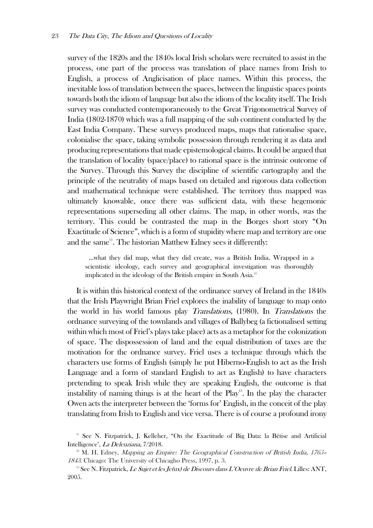survey of the 1820s and the 1840s local Irish scholars were recruited to assist in the process, one part of the process was translation of place names from Irish to English, a process of Anglicisation of place names. Within this process, the inevitable loss of translation between the spaces, between the linguistic spaces points towards both the idiom of language but also the idiom of the locality itself. The Irish survey was conducted contemporaneously to the Great Trigonometrical Survey of India (1802-1870) which was a full mapping of the sub continent conducted by the East India Company. These surveys produced maps, maps that rationalise space, colonialise the space, taking symbolic possession through rendering it as data and producing representations that made epistemological claims. It could be argued that the translation of locality (space/place) to rational space is the intrinsic outcome of the Survey. Through this Survey the discipline of scientific cartography and the principle of the neutrality of maps based on detailed and rigorous data collection and mathematical technique were established. The territory thus mapped was ultimately knowable, once there was sufficient data, with these hegemonic representations superseding all other claims. The map, in other words, was the territory. This could be contrasted the map in the Borges short story "On Exactitude of Science", which is a form of stupidity where map and territory are one and the same<sup>11</sup>. The historian Matthew Edney sees it differently:

…what they did map, what they did create, was a British India. Wrapped in a scientistic ideology, each survey and geographical investigation was thoroughly implicated in the ideology of the British empire in South Asia.<sup>12</sup>

It is within this historical context of the ordinance survey of Ireland in the 1840s that the Irish Playwright Brian Friel explores the inability of language to map onto the world in his world famous play Translations, (1980). In Translations the ordnance surveying of the townlands and villages of Ballybeg (a fictionalised setting within which most of Friel's plays take place) acts as a metaphor for the colonization of space. The dispossession of land and the equal distribution of taxes are the motivation for the ordnance survey. Friel uses a technique through which the characters use forms of English (simply he put Hiberno-English to act as the Irish Language and a form of standard English to act as English) to have characters pretending to speak Irish while they are speaking English, the outcome is that instability of naming things is at the heart of the  $Play<sup>13</sup>$ . In the play the character Owen acts the interpreter between the 'forms for' English, in the conceit of the play translating from Irish to English and vice versa. There is of course a profound irony

<sup>&</sup>lt;sup>11</sup> See N. Fitzpatrick, J. Kelleher, "On the Exactitude of Big Data: la Bêtise and Artificial Intelligence', La Deleuziana, 7/2018.

<sup>&</sup>lt;sup>12</sup> M. H. Edney, *Mapping an Empire: The Geographical Construction of British India, 1765* <sup>1843</sup>. Chicago: The University of Chicagho Press, 1997, p. 3.

<sup>&</sup>lt;sup>13</sup> See N. Fitzpatrick, *Le Sujet et les Je(ux) de Discours dans L'Oeuvre de Brian Friel*. Lilles: ANT, 2005.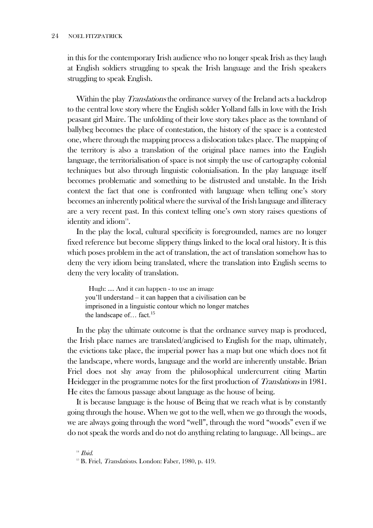in this for the contemporary Irish audience who no longer speak Irish as they laugh at English soldiers struggling to speak the Irish language and the Irish speakers struggling to speak English.

Within the play *Translations* the ordinance survey of the Ireland acts a backdrop to the central love story where the English solder Yolland falls in love with the Irish peasant girl Maire. The unfolding of their love story takes place as the townland of ballybeg becomes the place of contestation, the history of the space is a contested one, where through the mapping process a dislocation takes place. The mapping of the territory is also a translation of the original place names into the English language, the territorialisation of space is not simply the use of cartography colonial techniques but also through linguistic colonialisation. In the play language itself becomes problematic and something to be distrusted and unstable. In the Irish context the fact that one is confronted with language when telling one's story becomes an inherently political where the survival of the Irish language and illiteracy are a very recent past. In this context telling one's own story raises questions of identity and idiom $14$ .

In the play the local, cultural specificity is foregrounded, names are no longer fixed reference but become slippery things linked to the local oral history. It is this which poses problem in the act of translation, the act of translation somehow has to deny the very idiom being translated, where the translation into English seems to deny the very locality of translation.

Hugh: …. And it can happen - to use an image you'll understand – it can happen that a civilisation can be imprisoned in a linguistic contour which no longer matches the landscape of... fact.<sup>15</sup>

In the play the ultimate outcome is that the ordnance survey map is produced, the Irish place names are translated/anglicised to English for the map, ultimately, the evictions take place, the imperial power has a map but one which does not fit the landscape, where words, language and the world are inherently unstable. Brian Friel does not shy away from the philosophical undercurrent citing Martin Heidegger in the programme notes for the first production of Translations in 1981. He cites the famous passage about language as the house of being.

It is because language is the house of Being that we reach what is by constantly going through the house. When we got to the well, when we go through the woods, we are always going through the word "well", through the word "woods" even if we do not speak the words and do not do anything relating to language. All beings.. are

 $14$  *Ibid.* 

<sup>&</sup>lt;sup>15</sup> B. Friel, *Translations*. London: Faber, 1980, p. 419.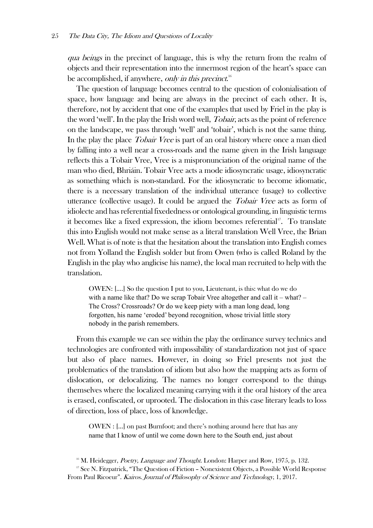qua beings in the precinct of language, this is why the return from the realm of objects and their representation into the innermost region of the heart's space can be accomplished, if anywhere, *only in this precinct.*<sup>16</sup>

The question of language becomes central to the question of colonialisation of space, how language and being are always in the precinct of each other. It is, therefore, not by accident that one of the examples that used by Friel in the play is the word 'well'. In the play the Irish word well, *Tobair*, acts as the point of reference on the landscape, we pass through 'well' and 'tobair', which is not the same thing. In the play the place *Tobair Vree* is part of an oral history where once a man died by falling into a well near a cross-roads and the name given in the Irish language reflects this a Tobair Vree, Vree is a mispronunciation of the original name of the man who died, Bhriáin. Tobair Vree acts a mode idiosyncratic usage, idiosyncratic as something which is non-standard. For the idiosyncratic to become idiomatic, there is a necessary translation of the individual utterance (usage) to collective utterance (collective usage). It could be argued the *Tobair Vree* acts as form of idiolecte and has referential fixededness or ontological grounding, in linguistic terms it becomes like a fixed expression, the idiom becomes referential<sup>17</sup>. To translate this into English would not make sense as a literal translation Well Vree, the Brian Well. What is of note is that the hesitation about the translation into English comes not from Yolland the English solder but from Owen (who is called Roland by the English in the play who anglicise his name), the local man recruited to help with the translation.

OWEN: [….] So the question I put to you, Lieutenant, is this: what do we do with a name like that? Do we scrap Tobair Vree altogether and call it – what? – The Cross? Crossroads? Or do we keep piety with a man long dead, long forgotten, his name 'eroded' beyond recognition, whose trivial little story nobody in the parish remembers.

From this example we can see within the play the ordinance survey technics and technologies are confronted with impossibility of standardization not just of space but also of place names. However, in doing so Friel presents not just the problematics of the translation of idiom but also how the mapping acts as form of dislocation, or delocalizing. The names no longer correspond to the things themselves where the localized meaning carrying with it the oral history of the area is erased, confiscated, or uprooted. The dislocation in this case literary leads to loss of direction, loss of place, loss of knowledge.

OWEN : […] on past Burnfoot; and there's nothing around here that has any name that I know of until we come down here to the South end, just about

<sup>&</sup>lt;sup>16</sup> M. Heidegger, *Poetry, Language and Thought*. London: Harper and Row, 1975, p. 132.

<sup>&</sup>lt;sup>17</sup> See N. Fitzpatrick, "The Question of Fiction – Nonexistent Objects, a Possible World Response From Paul Ricoeur". Kairos. Journal of Philosophy of Science and Technology, 1, 2017.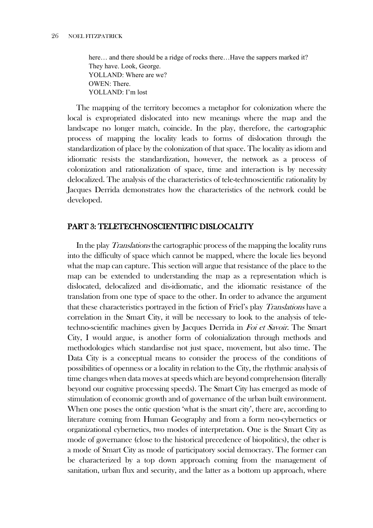here... and there should be a ridge of rocks there...Have the sappers marked it? They have. Look, George. YOLLAND: Where are we? OWEN: There. YOLLAND: I'm lost

The mapping of the territory becomes a metaphor for colonization where the local is expropriated dislocated into new meanings where the map and the landscape no longer match, coincide. In the play, therefore, the cartographic process of mapping the locality leads to forms of dislocation through the standardization of place by the colonization of that space. The locality as idiom and idiomatic resists the standardization, however, the network as a process of colonization and rationalization of space, time and interaction is by necessity delocalized. The analysis of the characteristics of tele-technoscientific rationality by Jacques Derrida demonstrates how the characteristics of the network could be developed.

## PART 3: TELETECHNOSCIENTIFIC DISLOCALITY

In the play *Translations* the cartographic process of the mapping the locality runs into the difficulty of space which cannot be mapped, where the locale lies beyond what the map can capture. This section will argue that resistance of the place to the map can be extended to understanding the map as a representation which is dislocated, delocalized and dis-idiomatic, and the idiomatic resistance of the translation from one type of space to the other. In order to advance the argument that these characteristics portrayed in the fiction of Friel's play Translations have a correlation in the Smart City, it will be necessary to look to the analysis of teletechno-scientific machines given by Jacques Derrida in Foi et Savoir. The Smart City, I would argue, is another form of colonialization through methods and methodologies which standardise not just space, movement, but also time. The Data City is a conceptual means to consider the process of the conditions of possibilities of openness or a locality in relation to the City, the rhythmic analysis of time changes when data moves at speeds which are beyond comprehension (literally beyond our cognitive processing speeds). The Smart City has emerged as mode of stimulation of economic growth and of governance of the urban built environment. When one poses the ontic question 'what is the smart city', there are, according to literature coming from Human Geography and from a form neo-cybernetics or organizational cybernetics, two modes of interpretation. One is the Smart City as mode of governance (close to the historical precedence of biopolitics), the other is a mode of Smart City as mode of participatory social democracy. The former can be characterized by a top down approach coming from the management of sanitation, urban flux and security, and the latter as a bottom up approach, where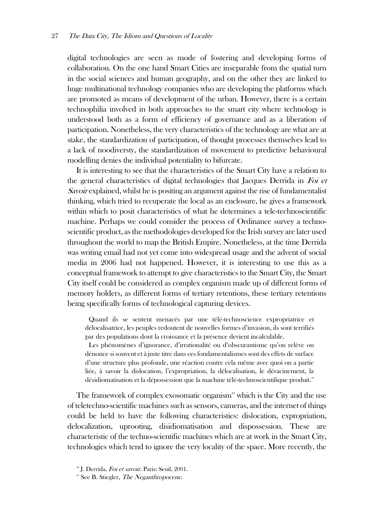digital technologies are seen as mode of fostering and developing forms of collaboration. On the one hand Smart Cities are inseparable from the spatial turn in the social sciences and human geography, and on the other they are linked to huge multinational technology companies who are developing the platforms which are promoted as means of development of the urban. However, there is a certain technophilia involved in both approaches to the smart city where technology is understood both as a form of efficiency of governance and as a liberation of participation. Nonetheless, the very characteristics of the technology are what are at stake, the standardization of participation, of thought processes themselves lead to a lack of noodiversty, the standardization of movement to predictive behavioural modelling denies the individual potentiality to bifurcate.

It is interesting to see that the characteristics of the Smart City have a relation to the general characteristics of digital technologies that Jacques Derrida in Foi et Savoir explained, whilst he is positing an argument against the rise of fundamentalist thinking, which tried to recuperate the local as an enclosure, he gives a framework within which to posit characteristics of what he determines a tele-technoscientific machine. Perhaps we could consider the process of Ordinance survey a technoscientific product, as the methodologies developed for the Irish survey are later used throughout the world to map the British Empire. Nonetheless, at the time Derrida was writing email had not yet come into widespread usage and the advent of social media in 2006 had not happened. However, it is interesting to use this as a conceptual framework to attempt to give characteristics to the Smart City, the Smart City itself could be considered as complex organism made up of different forms of memory holders, as different forms of tertiary retentions, these tertiary retentions being specifically forms of technological capturing devices.

Quand ils se sentent menacés par une télé-technoscience expropriatrice et délocalisatrice, les peuples redoutent de nouvelles formes d'invasion, ils sont terrifiés par des populations dont la croissance et la présence devient incalculable.

Les phénomènes d'ignorance, d'irrationalité ou d'obscurantisme qu'on relève ou dénonce si souvent et à juste titre dans ces fondamentalismes sont des effets de surface d'une structure plus profonde, une réaction contre cela même avec quoi on a partie liée, à savoir la dislocation, l'expropriation, la délocalisation, le déracinement, la désidiomatisation et la dépossession que la machine télé-technoscientifique produit.<sup>18</sup>

The framework of complex exosomatic organism<sup>19</sup> which is the City and the use of teletechno-scientific machines such as sensors, cameras, and the internet of things could be held to have the following characteristics: dislocation, expropriation, delocalization, uprooting, disidiomatisation and dispossession. These are characteristic of the techno-scientific machines which are at work in the Smart City, technologies which tend to ignore the very locality of the space. More recently, the

<sup>&</sup>lt;sup>18</sup> J. Derrida, Foi et savoir. Paris: Seuil, 2001.

 $19$  See B. Stiegler, *The Neganthropocene.*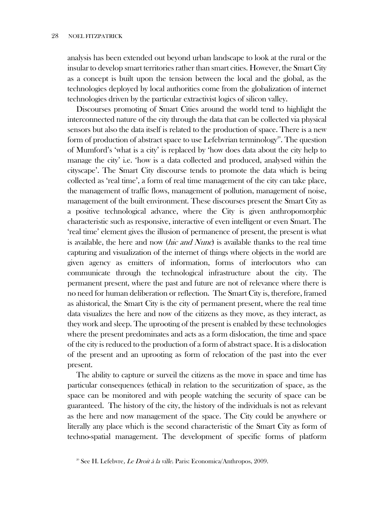analysis has been extended out beyond urban landscape to look at the rural or the insular to develop smart territories rather than smart cities. However, the Smart City as a concept is built upon the tension between the local and the global, as the technologies deployed by local authorities come from the globalization of internet technologies driven by the particular extractivist logics of silicon valley.

Discourses promoting of Smart Cities around the world tend to highlight the interconnected nature of the city through the data that can be collected via physical sensors but also the data itself is related to the production of space. There is a new form of production of abstract space to use Lefebvrian terminology<sup>20</sup>. The question of Mumford's 'what is a city' is replaced by 'how does data about the city help to manage the city' i.e. 'how is a data collected and produced, analysed within the cityscape'. The Smart City discourse tends to promote the data which is being collected as 'real time', a form of real time management of the city can take place, the management of traffic flows, management of pollution, management of noise, management of the built environment. These discourses present the Smart City as a positive technological advance, where the City is given anthropomorphic characteristic such as responsive, interactive of even intelligent or even Smart. The 'real time' element gives the illusion of permanence of present, the present is what is available, the here and now (*hic and Nunc*) is available thanks to the real time capturing and visualization of the internet of things where objects in the world are given agency as emitters of information, forms of interlocutors who can communicate through the technological infrastructure about the city. The permanent present, where the past and future are not of relevance where there is no need for human deliberation or reflection. The Smart City is, therefore, framed as ahistorical, the Smart City is the city of permanent present, where the real time data visualizes the here and now of the citizens as they move, as they interact, as they work and sleep. The uprooting of the present is enabled by these technologies where the present predominates and acts as a form dislocation, the time and space of the city is reduced to the production of a form of abstract space. It is a dislocation of the present and an uprooting as form of relocation of the past into the ever present.

The ability to capture or surveil the citizens as the move in space and time has particular consequences (ethical) in relation to the securitization of space, as the space can be monitored and with people watching the security of space can be guaranteed. The history of the city, the history of the individuals is not as relevant as the here and now management of the space. The City could be anywhere or literally any place which is the second characteristic of the Smart City as form of techno-spatial management. The development of specific forms of platform

<sup>&</sup>lt;sup>20</sup> See H. Lefebvre, *Le Droit à la ville*. Paris: Economica/Anthropos, 2009.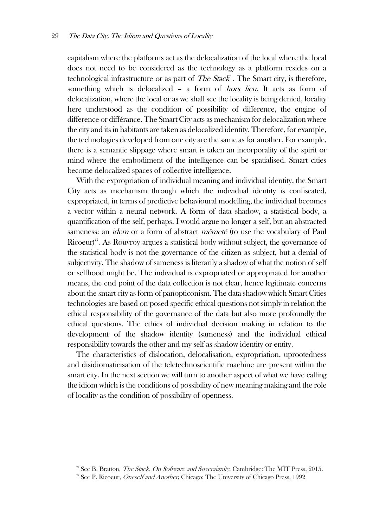capitalism where the platforms act as the delocalization of the local where the local does not need to be considered as the technology as a platform resides on a technological infrastructure or as part of *The Stack*<sup>21</sup>. The Smart city, is therefore, something which is delocalized – a form of *hors lieu*. It acts as form of delocalization, where the local or as we shall see the locality is being denied, locality here understood as the condition of possibility of difference, the engine of difference or différance. The Smart City acts as mechanism for delocalization where the city and its in habitants are taken as delocalized identity. Therefore, for example, the technologies developed from one city are the same as for another. For example, there is a semantic slippage where smart is taken an incorporality of the spirit or mind where the embodiment of the intelligence can be spatialised. Smart cities become delocalized spaces of collective intelligence.

With the expropriation of individual meaning and individual identity, the Smart City acts as mechanism through which the individual identity is confiscated, expropriated, in terms of predictive behavioural modelling, the individual becomes a vector within a neural network. A form of data shadow, a statistical body, a quantification of the self, perhaps, I would argue no longer a self, but an abstracted sameness: an *idem* or a form of abstract *mêmeté* (to use the vocabulary of Paul Ricoeur)<sup>22</sup>. As Rouvroy argues a statistical body without subject, the governance of the statistical body is not the governance of the citizen as subject, but a denial of subjectivity. The shadow of sameness is literarily a shadow of what the notion of self or selfhood might be. The individual is expropriated or appropriated for another means, the end point of the data collection is not clear, hence legitimate concerns about the smart city as form of panopticonism. The data shadow which Smart Cities technologies are based on posed specific ethical questions not simply in relation the ethical responsibility of the governance of the data but also more profoundly the ethical questions. The ethics of individual decision making in relation to the development of the shadow identity (sameness) and the individual ethical responsibility towards the other and my self as shadow identity or entity.

The characteristics of dislocation, delocalisation, expropriation, uprootedness and disidiomaticisation of the teletechnoscientific machine are present within the smart city. In the next section we will turn to another aspect of what we have calling the idiom which is the conditions of possibility of new meaning making and the role of locality as the condition of possibility of openness.

<sup>&</sup>lt;sup>21</sup> See B. Bratton, *The Stack. On Software and Soveraignity*. Cambridge: The MIT Press, 2015.

<sup>&</sup>lt;sup>22</sup> See P. Ricoeur, *Oneself and Another*, Chicago: The University of Chicago Press, 1992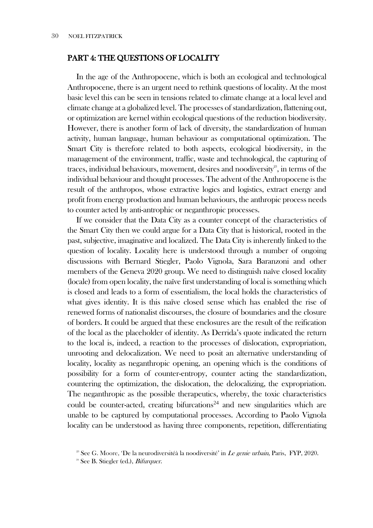## PART 4: THE QUESTIONS OF LOCALITY

In the age of the Anthropocene, which is both an ecological and technological Anthropocene, there is an urgent need to rethink questions of locality. At the most basic level this can be seen in tensions related to climate change at a local level and climate change at a globalized level. The processes of standardization, flattening out, or optimization are kernel within ecological questions of the reduction biodiversity. However, there is another form of lack of diversity, the standardization of human activity, human language, human behaviour as computational optimization. The Smart City is therefore related to both aspects, ecological biodiversity, in the management of the environment, traffic, waste and technological, the capturing of traces, individual behaviours, movement, desires and noodiversity<sup>23</sup>, in terms of the individual behaviour and thought processes. The advent of the Anthropocene is the result of the anthropos, whose extractive logics and logistics, extract energy and profit from energy production and human behaviours, the anthropic process needs to counter acted by anti-antrophic or neganthropic processes.

If we consider that the Data City as a counter concept of the characteristics of the Smart City then we could argue for a Data City that is historical, rooted in the past, subjective, imaginative and localized. The Data City is inherently linked to the question of locality. Locality here is understood through a number of ongoing discussions with Bernard Stiegler, Paolo Vignola, Sara Baranzoni and other members of the Geneva 2020 group. We need to distinguish naïve closed locality (locale) from open locality, the naïve first understanding of local is something which is closed and leads to a form of essentialism, the local holds the characteristics of what gives identity. It is this naïve closed sense which has enabled the rise of renewed forms of nationalist discourses, the closure of boundaries and the closure of borders. It could be argued that these enclosures are the result of the reification of the local as the placeholder of identity. As Derrida's quote indicated the return to the local is, indeed, a reaction to the processes of dislocation, expropriation, unrooting and delocalization. We need to posit an alternative understanding of locality, locality as neganthropic opening, an opening which is the conditions of possibility for a form of counter-entropy, counter acting the standardization, countering the optimization, the dislocation, the delocalizing, the expropriation. The neganthropic as the possible therapeutics, whereby, the toxic characteristics could be counter-acted, creating bifurcations<sup>24</sup> and new singularities which are unable to be captured by computational processes. According to Paolo Vignola locality can be understood as having three components, repetition, differentiating

<sup>&</sup>lt;sup>23</sup> See G. Moore, 'De la neurodiversitéà la noodiversité' in *Le genie urbain*, Paris, FYP, 2020.

 $24$  See B. Stiegler (ed.), *Bifurquer*.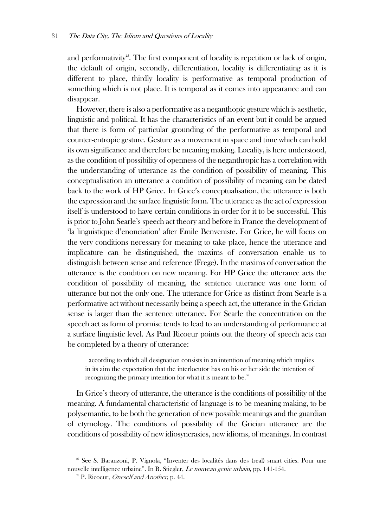and performativity<sup>25</sup>. The first component of locality is repetition or lack of origin, the default of origin, secondly, differentiation, locality is differentiating as it is different to place, thirdly locality is performative as temporal production of something which is not place. It is temporal as it comes into appearance and can disappear.

However, there is also a performative as a neganthopic gesture which is aesthetic, linguistic and political. It has the characteristics of an event but it could be argued that there is form of particular grounding of the performative as temporal and counter-entropic gesture. Gesture as a movement in space and time which can hold its own significance and therefore be meaning making. Locality, is here understood, as the condition of possibility of openness of the neganthropic has a correlation with the understanding of utterance as the condition of possibility of meaning. This conceptualisation an utterance a condition of possibility of meaning can be dated back to the work of HP Grice. In Grice's conceptualisation, the utterance is both the expression and the surface linguistic form. The utterance as the act of expression itself is understood to have certain conditions in order for it to be successful. This is prior to John Searle's speech act theory and before in France the development of 'la linguistique d'enonciation' after Emile Benveniste. For Grice, he will focus on the very conditions necessary for meaning to take place, hence the utterance and implicature can be distinguished, the maxims of conversation enable us to distinguish between sense and reference (Frege). In the maxims of conversation the utterance is the condition on new meaning. For HP Grice the utterance acts the condition of possibility of meaning, the sentence utterance was one form of utterance but not the only one. The utterance for Grice as distinct from Searle is a performative act without necessarily being a speech act, the utterance in the Grician sense is larger than the sentence utterance. For Searle the concentration on the speech act as form of promise tends to lead to an understanding of performance at a surface linguistic level. As Paul Ricoeur points out the theory of speech acts can be completed by a theory of utterance:

according to which all designation consists in an intention of meaning which implies in its aim the expectation that the interlocutor has on his or her side the intention of recognizing the primary intention for what it is meant to be. $26$ 

In Grice's theory of utterance, the utterance is the conditions of possibility of the meaning. A fundamental characteristic of language is to be meaning making, to be polysemantic, to be both the generation of new possible meanings and the guardian of etymology. The conditions of possibility of the Grician utterance are the conditions of possibility of new idiosyncrasies, new idioms, of meanings. In contrast

<sup>&</sup>lt;sup>25</sup> See S. Baranzoni, P. Vignola, "Inventer des localités dans des (real) smart cities. Pour une nouvelle intelligence urbaine". In B. Stiegler, Le nouveau genie urbain, pp. 141-154.

 $26$  P. Ricoeur, *Oneself and Another*, p. 44.